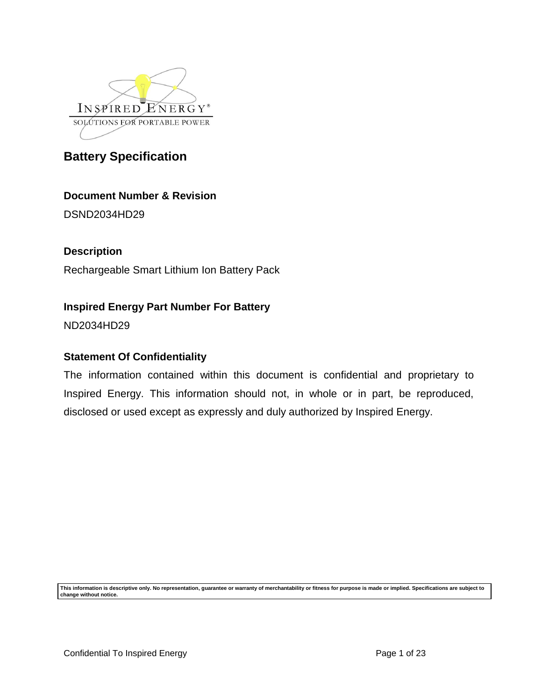

# **Document Number & Revision**

DSND2034HD29

# **Description**

Rechargeable Smart Lithium Ion Battery Pack

# **Inspired Energy Part Number For Battery**

ND2034HD29

# **Statement Of Confidentiality**

The information contained within this document is confidential and proprietary to Inspired Energy. This information should not, in whole or in part, be reproduced, disclosed or used except as expressly and duly authorized by Inspired Energy.

**This information is descriptive only. No representation, guarantee or warranty of merchantability or fitness for purpose is made or implied. Specifications are subject to change without notice.**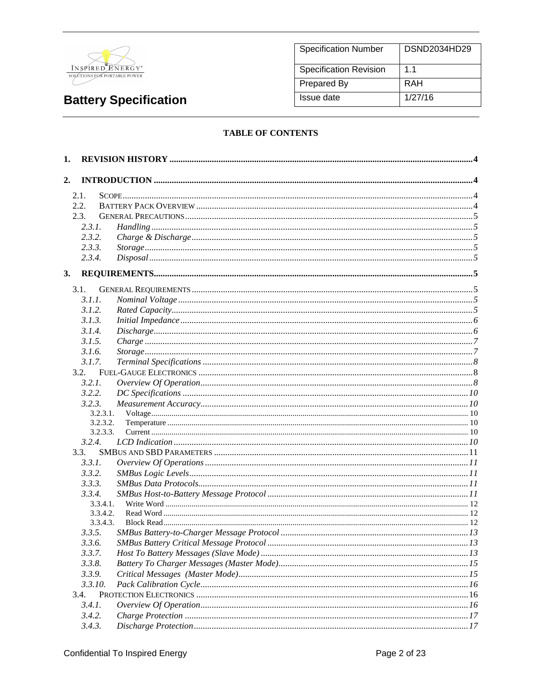

| <b>Specification Number</b>   | DSND2034HD29 |
|-------------------------------|--------------|
| <b>Specification Revision</b> | 11           |
| <b>Prepared By</b>            | RAH          |
| Issue date                    | 1/27/16      |

### **TABLE OF CONTENTS**

| 1.             |                |  |
|----------------|----------------|--|
| 2.             |                |  |
| 2.1.           |                |  |
| 2.2.           |                |  |
| 2.3.           |                |  |
| 2.3.1.         |                |  |
| 2.3.2.         |                |  |
| 2.3.3.         |                |  |
| 2.3.4.         |                |  |
| 3.             |                |  |
|                |                |  |
| 3.1.<br>3.1.1. |                |  |
| 3.1.2.         |                |  |
| 3.1.3.         |                |  |
| 3.1.4.         |                |  |
| 3.1.5.         | $Charge \dots$ |  |
| 3.1.6.         |                |  |
| 3.1.7.         |                |  |
| 3.2.           |                |  |
| 3.2.1.         |                |  |
| 3.2.2.         |                |  |
| 3.2.3.         |                |  |
|                | 3.2.3.1.       |  |
|                | 3.2.3.2.       |  |
|                | 3.2.3.3.       |  |
| 3.2.4.         |                |  |
| 3.3.           |                |  |
| 3.3.1.         |                |  |
| 3.3.2.         |                |  |
| 3.3.3.         |                |  |
| 3.3.4.         |                |  |
|                | 3.3.4.1.       |  |
|                | 3.3.4.2.       |  |
|                | 3.3.4.3.       |  |
| 3.3.5.         |                |  |
| 3.3.6.         |                |  |
| 3.3.7.         |                |  |
| 3.3.8.         |                |  |
| 3.3.9.         |                |  |
| 3.3.10.        |                |  |
| 3.4.           |                |  |
| 3.4.1.         |                |  |
| 3.4.2.         |                |  |
| 3.4.3.         |                |  |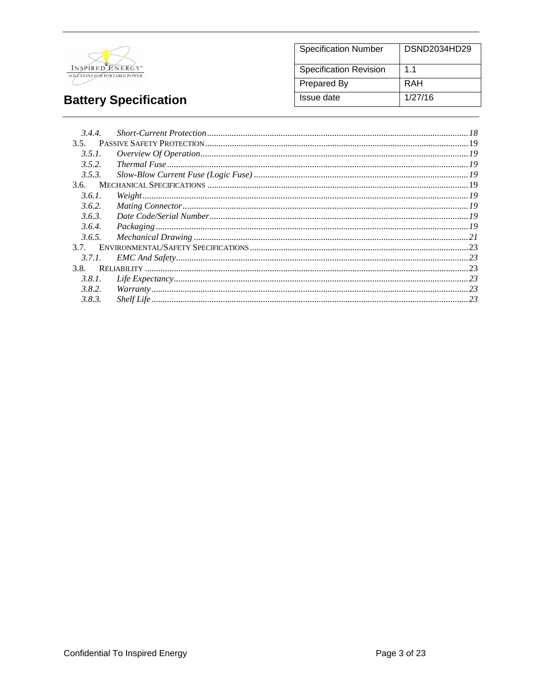

#### **Specification Number** DSND2034HD29 Specification Revision  $1.1$ **Prepared By RAH Issue date**  $1/27/16$

# **Battery Specification**

| 3.4.4. |                                                                                                                                                                                                    |  |
|--------|----------------------------------------------------------------------------------------------------------------------------------------------------------------------------------------------------|--|
| 3.5.   |                                                                                                                                                                                                    |  |
| 3.5.1. | $\emph{Overview Of Operation} \label{OverviewOfOperation} \emph{Overview Of Operation} \emph{19}$                                                                                                  |  |
| 3.5.2. |                                                                                                                                                                                                    |  |
| 3.5.3. |                                                                                                                                                                                                    |  |
|        |                                                                                                                                                                                                    |  |
| 3.6.1. |                                                                                                                                                                                                    |  |
| 3.6.2. |                                                                                                                                                                                                    |  |
| 3.6.3. |                                                                                                                                                                                                    |  |
| 3.6.4. |                                                                                                                                                                                                    |  |
| 3.6.5. |                                                                                                                                                                                                    |  |
| 3.7.   |                                                                                                                                                                                                    |  |
| 3.7.1. |                                                                                                                                                                                                    |  |
| 3.8.   |                                                                                                                                                                                                    |  |
| 3.8.1. | $\emph{Life Expectancy} \label{prop:1} \emph{Life Expectancy} \normalsize \normalsize \ldots \normalsize \normalsize \normalsize \textcolor{red}{\textbf{Life Expectancy}} \textcolor{black}{.23}$ |  |
| 3.8.2. |                                                                                                                                                                                                    |  |
| 3.8.3. |                                                                                                                                                                                                    |  |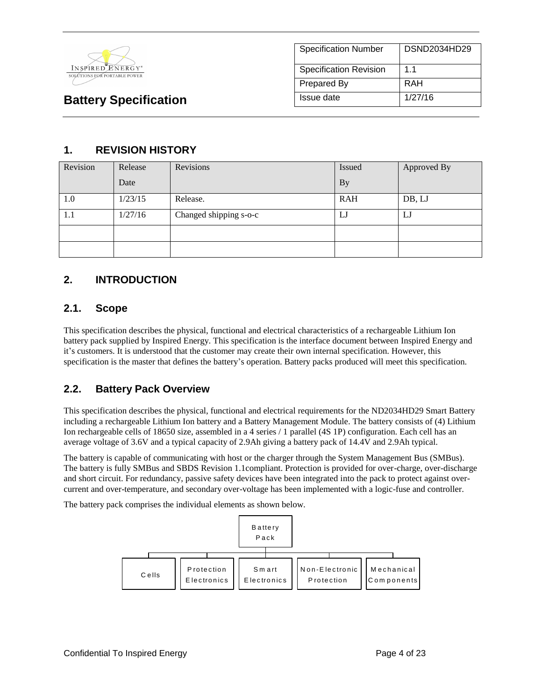

| <b>Specification Number</b>   | DSND2034HD29   |
|-------------------------------|----------------|
| <b>Specification Revision</b> | 1 <sub>1</sub> |
| Prepared By                   | RAH            |
| Issue date                    | 1/27/16        |

# **1. REVISION HISTORY**

| Revision | Release | Revisions              | <b>Issued</b> | Approved By |
|----------|---------|------------------------|---------------|-------------|
|          | Date    |                        | <b>By</b>     |             |
| 1.0      | 1/23/15 | Release.               | <b>RAH</b>    | DB, LJ      |
| 1.1      | 1/27/16 | Changed shipping s-o-c | IJ            | LJ          |
|          |         |                        |               |             |
|          |         |                        |               |             |

# **2. INTRODUCTION**

# **2.1. Scope**

This specification describes the physical, functional and electrical characteristics of a rechargeable Lithium Ion battery pack supplied by Inspired Energy. This specification is the interface document between Inspired Energy and it's customers. It is understood that the customer may create their own internal specification. However, this specification is the master that defines the battery's operation. Battery packs produced will meet this specification.

# **2.2. Battery Pack Overview**

This specification describes the physical, functional and electrical requirements for the ND2034HD29 Smart Battery including a rechargeable Lithium Ion battery and a Battery Management Module. The battery consists of (4) Lithium Ion rechargeable cells of 18650 size, assembled in a 4 series / 1 parallel (4S 1P) configuration. Each cell has an average voltage of 3.6V and a typical capacity of 2.9Ah giving a battery pack of 14.4V and 2.9Ah typical.

The battery is capable of communicating with host or the charger through the System Management Bus (SMBus). The battery is fully SMBus and SBDS Revision 1.1compliant. Protection is provided for over-charge, over-discharge and short circuit. For redundancy, passive safety devices have been integrated into the pack to protect against overcurrent and over-temperature, and secondary over-voltage has been implemented with a logic-fuse and controller.

The battery pack comprises the individual elements as shown below.

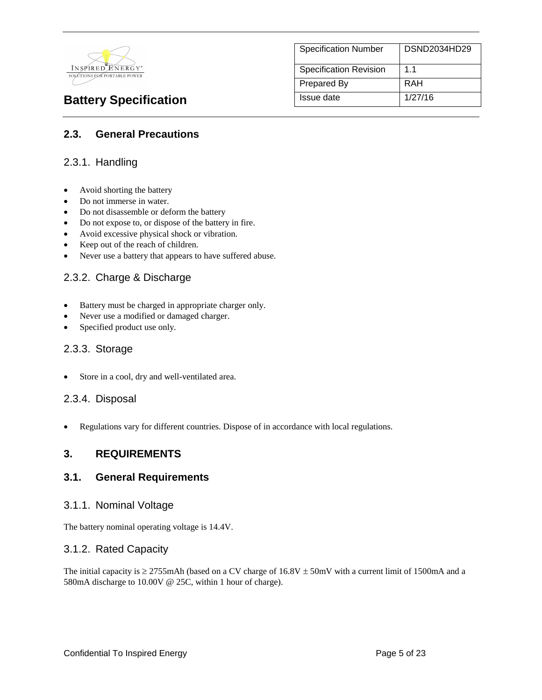

Specification Number | DSND2034HD29 Specification Revision | 1.1 Prepared By RAH **Battery Specification** Issue date 1/27/16

# **2.3. General Precautions**

# 2.3.1. Handling

- Avoid shorting the battery
- Do not immerse in water.
- Do not disassemble or deform the battery
- Do not expose to, or dispose of the battery in fire.
- Avoid excessive physical shock or vibration.
- Keep out of the reach of children.
- Never use a battery that appears to have suffered abuse.

# 2.3.2. Charge & Discharge

- Battery must be charged in appropriate charger only.
- Never use a modified or damaged charger.
- Specified product use only.

### 2.3.3. Storage

Store in a cool, dry and well-ventilated area.

# 2.3.4. Disposal

Regulations vary for different countries. Dispose of in accordance with local regulations.

# **3. REQUIREMENTS**

### **3.1. General Requirements**

### 3.1.1. Nominal Voltage

The battery nominal operating voltage is 14.4V.

### 3.1.2. Rated Capacity

The initial capacity is  $\geq$  2755mAh (based on a CV charge of 16.8V  $\pm$  50mV with a current limit of 1500mA and a 580mA discharge to 10.00V @ 25C, within 1 hour of charge).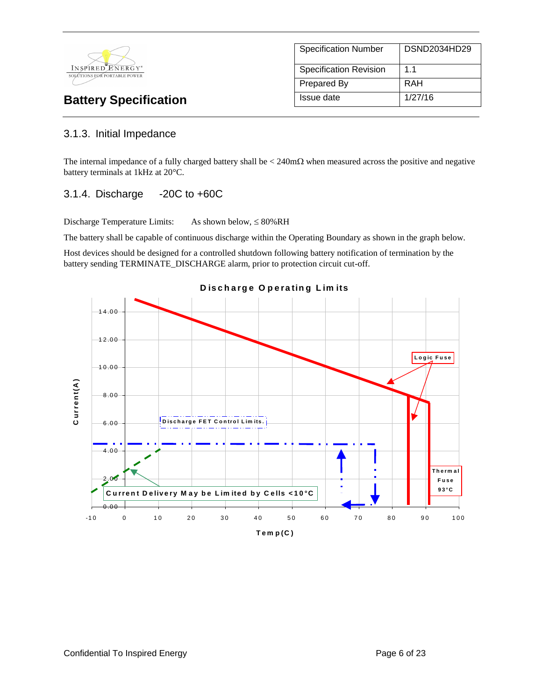

| <b>Specification Number</b> | DSND2034HD29   |
|-----------------------------|----------------|
| Specification Revision      | 1 <sub>1</sub> |
| <b>Prepared By</b>          | RAH            |
| Issue date                  | 1/27/16        |

# 3.1.3. Initial Impedance

The internal impedance of a fully charged battery shall be  $\lt 240 \text{m}\Omega$  when measured across the positive and negative battery terminals at 1kHz at 20°C.

# 3.1.4. Discharge -20C to +60C

Discharge Temperature Limits: As shown below,  $\leq 80\%RH$ 

The battery shall be capable of continuous discharge within the Operating Boundary as shown in the graph below.

Host devices should be designed for a controlled shutdown following battery notification of termination by the battery sending TERMINATE\_DISCHARGE alarm, prior to protection circuit cut-off.<br> **D is c h a rg e O p e ra tin** battery sending TERMINATE\_DISCHARGE alarm, prior to protection circuit cut-off.

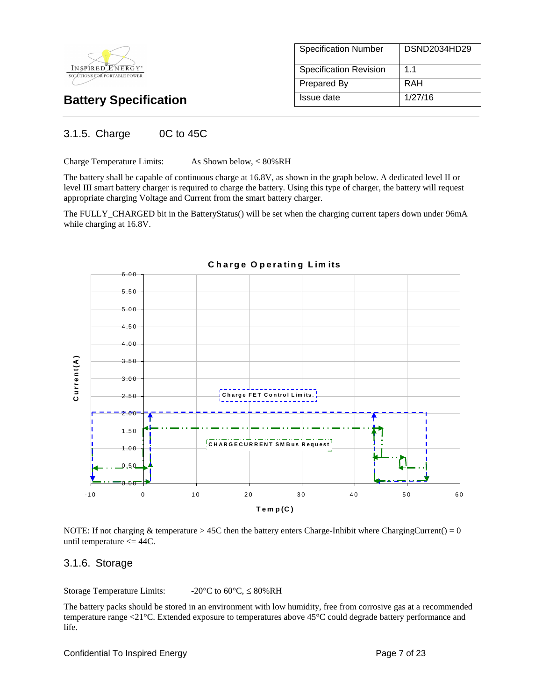

| <b>Specification Number</b>   | DSND2034HD29 |
|-------------------------------|--------------|
| <b>Specification Revision</b> | 11           |
| Prepared By                   | RAH          |
| Issue date                    | 1/27/16      |

# 3.1.5. Charge 0C to 45C

Charge Temperature Limits:  $As Shown below,  $\leq 80\%RH$$ 

The battery shall be capable of continuous charge at 16.8V, as shown in the graph below. A dedicated level II or level III smart battery charger is required to charge the battery. Using this type of charger, the battery will request appropriate charging Voltage and Current from the smart battery charger.

The FULLY\_CHARGED bit in the BatteryStatus() will be set when the charging current tapers down under 96mA while charging at 16.8V.



**C h a rg e O p e ra tin g L im its**

NOTE: If not charging  $&$  temperature  $> 45C$  then the battery enters Charge-Inhibit where ChargingCurrent() = 0 until temperature  $\leq$  44C.

# 3.1.6. Storage

Storage Temperature Limits:  $-20^{\circ}C$  to  $60^{\circ}C$ ,  $\leq 80\%RH$ 

The battery packs should be stored in an environment with low humidity, free from corrosive gas at a recommended temperature range <21°C. Extended exposure to temperatures above 45°C could degrade battery performance and life.

Confidential To Inspired Energy **Page 7 of 23** Page 7 of 23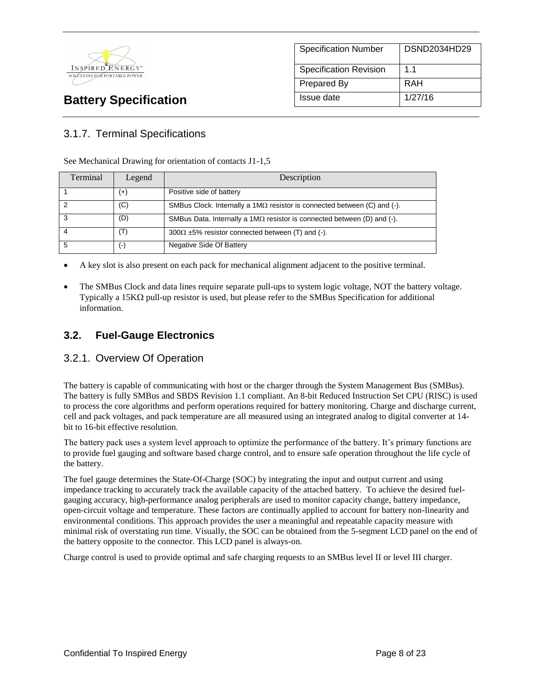

# Specification Number | DSND2034HD29 Specification Revision | 1.1 Prepared By RAH **Battery Specification Issue date** 1/27/16

# 3.1.7. Terminal Specifications

See Mechanical Drawing for orientation of contacts J1-1,5

| Terminal | Legend | Description                                                                     |
|----------|--------|---------------------------------------------------------------------------------|
|          | $(+)$  | Positive side of battery                                                        |
|          | (C)    | SMBus Clock. Internally a $1M\Omega$ resistor is connected between (C) and (-). |
|          | (D)    | SMBus Data. Internally a $1M\Omega$ resistor is connected between (D) and (-).  |
|          | (T)    | $300\Omega \pm 5\%$ resistor connected between (T) and (-).                     |
|          | $(-)$  | Negative Side Of Battery                                                        |

A key slot is also present on each pack for mechanical alignment adjacent to the positive terminal.

 The SMBus Clock and data lines require separate pull-ups to system logic voltage, NOT the battery voltage. Typically a 15K $\Omega$  pull-up resistor is used, but please refer to the SMBus Specification for additional information.

# **3.2. Fuel-Gauge Electronics**

# 3.2.1. Overview Of Operation

The battery is capable of communicating with host or the charger through the System Management Bus (SMBus). The battery is fully SMBus and SBDS Revision 1.1 compliant. An 8-bit Reduced Instruction Set CPU (RISC) is used to process the core algorithms and perform operations required for battery monitoring. Charge and discharge current, cell and pack voltages, and pack temperature are all measured using an integrated analog to digital converter at 14 bit to 16-bit effective resolution.

The battery pack uses a system level approach to optimize the performance of the battery. It's primary functions are to provide fuel gauging and software based charge control, and to ensure safe operation throughout the life cycle of the battery.

The fuel gauge determines the State-Of-Charge (SOC) by integrating the input and output current and using impedance tracking to accurately track the available capacity of the attached battery. To achieve the desired fuelgauging accuracy, high-performance analog peripherals are used to monitor capacity change, battery impedance, open-circuit voltage and temperature. These factors are continually applied to account for battery non-linearity and environmental conditions. This approach provides the user a meaningful and repeatable capacity measure with minimal risk of overstating run time. Visually, the SOC can be obtained from the 5-segment LCD panel on the end of the battery opposite to the connector. This LCD panel is always-on.

Charge control is used to provide optimal and safe charging requests to an SMBus level II or level III charger.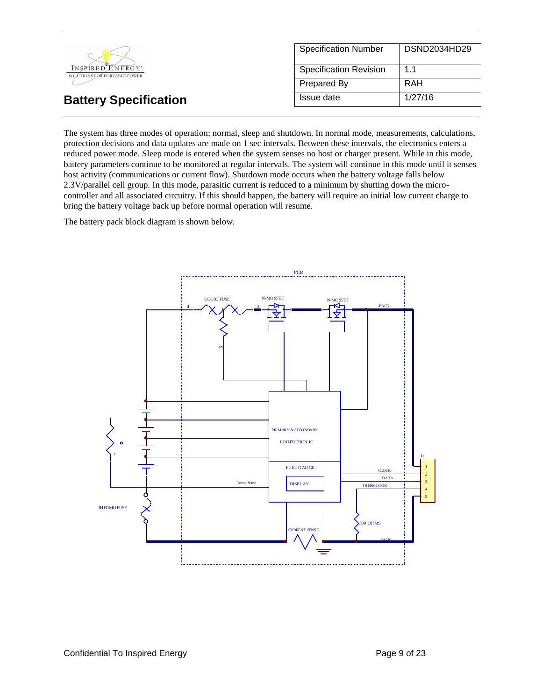

The system has three modes of operation; normal, sleep and shutdown. In normal mode, measurements, calculations, protection decisions and data updates are made on 1 sec intervals. Between these intervals, the electronics enters a reduced power mode. Sleep mode is entered when the system senses no host or charger present. While in this mode, battery parameters continue to be monitored at regular intervals. The system will continue in this mode until it senses host activity (communications or current flow). Shutdown mode occurs when the battery voltage falls below 2.3V/parallel cell group. In this mode, parasitic current is reduced to a minimum by shutting down the microcontroller and all associated circuitry. If this should happen, the battery will require an initial low current charge to bring the battery voltage back up before normal operation will resume.

The battery pack block diagram is shown below.

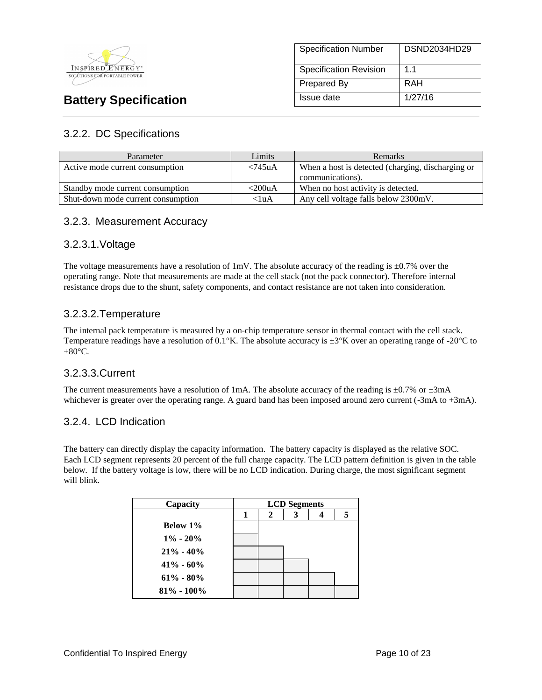

# Specification Number | DSND2034HD29 Specification Revision 1.1 Prepared By RAH **Battery Specification Issue date** 1/27/16

# 3.2.2. DC Specifications

| Parameter                          | Limits     | <b>Remarks</b>                                    |  |
|------------------------------------|------------|---------------------------------------------------|--|
| Active mode current consumption    | $< 745$ uA | When a host is detected (charging, discharging or |  |
|                                    |            | communications).                                  |  |
| Standby mode current consumption   | <200uA     | When no host activity is detected.                |  |
| Shut-down mode current consumption | <1uA       | Any cell voltage falls below 2300mV.              |  |

# 3.2.3. Measurement Accuracy

# 3.2.3.1.Voltage

The voltage measurements have a resolution of 1mV. The absolute accuracy of the reading is  $\pm 0.7\%$  over the operating range. Note that measurements are made at the cell stack (not the pack connector). Therefore internal resistance drops due to the shunt, safety components, and contact resistance are not taken into consideration.

# 3.2.3.2.Temperature

The internal pack temperature is measured by a on-chip temperature sensor in thermal contact with the cell stack. Temperature readings have a resolution of 0.1°K. The absolute accuracy is  $\pm 3^{\circ}K$  over an operating range of -20°C to  $+80^{\circ}$ C.

# 3.2.3.3.Current

The current measurements have a resolution of 1mA. The absolute accuracy of the reading is  $\pm 0.7\%$  or  $\pm 3$ mA whichever is greater over the operating range. A guard band has been imposed around zero current (-3mA to +3mA).

# 3.2.4. LCD Indication

The battery can directly display the capacity information. The battery capacity is displayed as the relative SOC. Each LCD segment represents 20 percent of the full charge capacity. The LCD pattern definition is given in the table below. If the battery voltage is low, there will be no LCD indication. During charge, the most significant segment will blink.

| Capacity        | <b>LCD</b> Segments |  |   |  |  |
|-----------------|---------------------|--|---|--|--|
|                 |                     |  | 3 |  |  |
| <b>Below 1%</b> |                     |  |   |  |  |
| $1\% - 20\%$    |                     |  |   |  |  |
| $21\% - 40\%$   |                     |  |   |  |  |
| $41\% - 60\%$   |                     |  |   |  |  |
| $61\% - 80\%$   |                     |  |   |  |  |
| $81\% - 100\%$  |                     |  |   |  |  |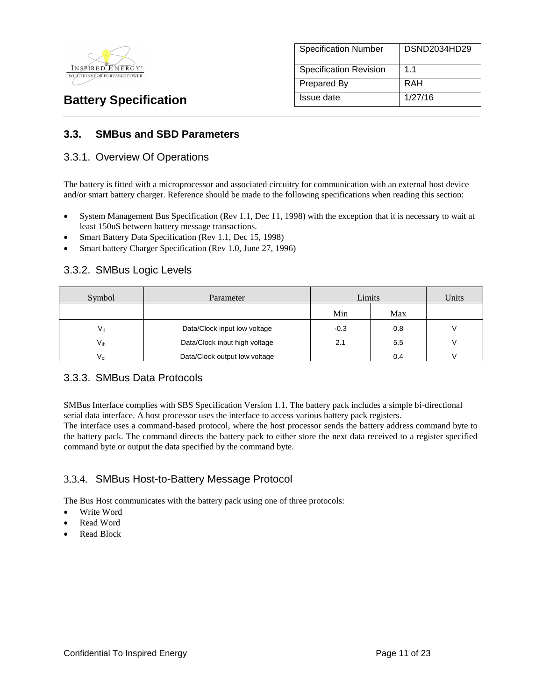

| <b>Specification Number</b>   | DSND2034HD29   |
|-------------------------------|----------------|
| <b>Specification Revision</b> | 1 <sub>1</sub> |
| Prepared By                   | RAH            |
| Issue date                    | 1/27/16        |

# **3.3. SMBus and SBD Parameters**

### 3.3.1. Overview Of Operations

The battery is fitted with a microprocessor and associated circuitry for communication with an external host device and/or smart battery charger. Reference should be made to the following specifications when reading this section:

- System Management Bus Specification (Rev 1.1, Dec 11, 1998) with the exception that it is necessary to wait at least 150uS between battery message transactions.
- Smart Battery Data Specification (Rev 1.1, Dec 15, 1998)
- Smart battery Charger Specification (Rev 1.0, June 27, 1996)

# 3.3.2. SMBus Logic Levels

| Symbol          | Parameter                     | Limits |     | Units |
|-----------------|-------------------------------|--------|-----|-------|
|                 |                               | Min    | Max |       |
| Va              | Data/Clock input low voltage  | $-0.3$ | 0.8 |       |
| $V_{ih}$        | Data/Clock input high voltage | 2.1    | 5.5 |       |
| $V_{\text{ol}}$ | Data/Clock output low voltage |        | 0.4 |       |

### 3.3.3. SMBus Data Protocols

SMBus Interface complies with SBS Specification Version 1.1. The battery pack includes a simple bi-directional serial data interface. A host processor uses the interface to access various battery pack registers.

The interface uses a command-based protocol, where the host processor sends the battery address command byte to the battery pack. The command directs the battery pack to either store the next data received to a register specified command byte or output the data specified by the command byte.

# 3.3.4. SMBus Host-to-Battery Message Protocol

The Bus Host communicates with the battery pack using one of three protocols:

- Write Word
- Read Word
- Read Block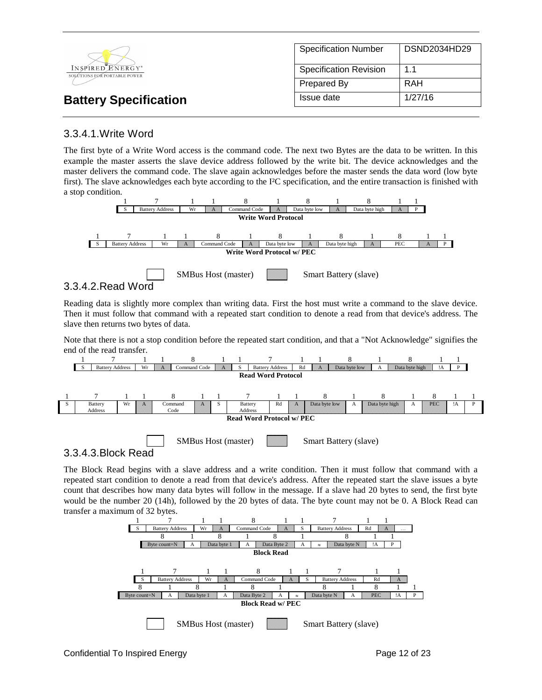|                                                  | <b>Specification Number</b>   | DSND2034HD29 |
|--------------------------------------------------|-------------------------------|--------------|
| INSPIRED ENERGY*<br>SOLÚTIONS FOR PORTABLE POWER | <b>Specification Revision</b> | 1.1          |
|                                                  | Prepared By                   | RAH          |
| <b>Battery Specification</b>                     | Issue date                    | 1/27/16      |

# 3.3.4.1.Write Word

The first byte of a Write Word access is the command code. The next two Bytes are the data to be written. In this example the master asserts the slave device address followed by the write bit. The device acknowledges and the master delivers the command code. The slave again acknowledges before the master sends the data word (low byte first). The slave acknowledges each byte according to the I²C specification, and the entire transaction is finished with a stop condition.



Reading data is slightly more complex than writing data. First the host must write a command to the slave device. Then it must follow that command with a repeated start condition to denote a read from that device's address. The slave then returns two bytes of data.

Note that there is not a stop condition before the repeated start condition, and that a "Not Acknowledge" signifies the end of the read transfer.



3.3.4.3.Block Read

The Block Read begins with a slave address and a write condition. Then it must follow that command with a repeated start condition to denote a read from that device's address. After the repeated start the slave issues a byte count that describes how many data bytes will follow in the message. If a slave had 20 bytes to send, the first byte would be the number 20 (14h), followed by the 20 bytes of data. The byte count may not be 0. A Block Read can transfer a maximum of 32 bytes.

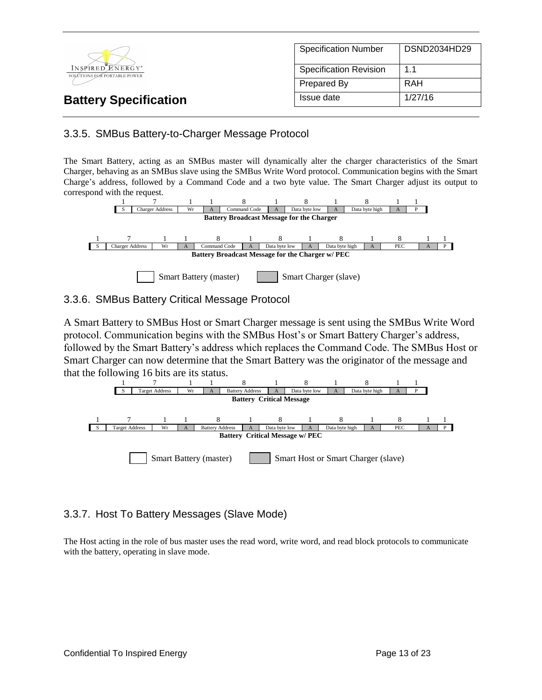

# 3.3.5. SMBus Battery-to-Charger Message Protocol

The Smart Battery, acting as an SMBus master will dynamically alter the charger characteristics of the Smart Charger, behaving as an SMBus slave using the SMBus Write Word protocol. Communication begins with the Smart Charge's address, followed by a Command Code and a two byte value. The Smart Charger adjust its output to correspond with the request.



### 3.3.6. SMBus Battery Critical Message Protocol

A Smart Battery to SMBus Host or Smart Charger message is sent using the SMBus Write Word protocol. Communication begins with the SMBus Host's or Smart Battery Charger's address, followed by the Smart Battery's address which replaces the Command Code. The SMBus Host or Smart Charger can now determine that the Smart Battery was the originator of the message and that the following 16 bits are its status.



# 3.3.7. Host To Battery Messages (Slave Mode)

The Host acting in the role of bus master uses the read word, write word, and read block protocols to communicate with the battery, operating in slave mode.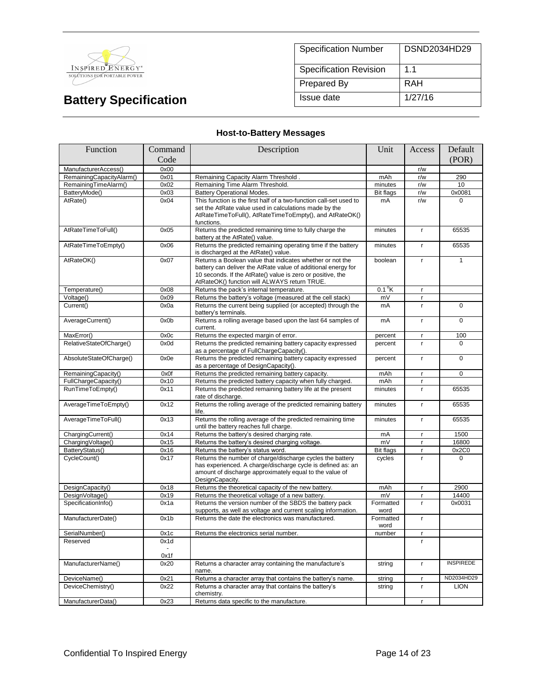

| <b>Specification Number</b>   | DSND2034HD29   |
|-------------------------------|----------------|
| <b>Specification Revision</b> | 1 <sub>1</sub> |
| <b>Prepared By</b>            | RAH            |
| Issue date                    | 1/27/16        |

# **Host-to-Battery Messages**

| Function                 | Command | Description                                                                                                                                                                                                                              | Unit                       | Access       | Default          |
|--------------------------|---------|------------------------------------------------------------------------------------------------------------------------------------------------------------------------------------------------------------------------------------------|----------------------------|--------------|------------------|
|                          | Code    |                                                                                                                                                                                                                                          |                            |              | (POR)            |
| ManufacturerAccess()     | 0x00    |                                                                                                                                                                                                                                          |                            | r/w          |                  |
| RemainingCapacityAlarm() | 0x01    | Remaining Capacity Alarm Threshold.                                                                                                                                                                                                      | mAh                        | r/w          | 290              |
| RemainingTimeAlarm()     | 0x02    | Remaining Time Alarm Threshold.                                                                                                                                                                                                          | minutes                    | r/w          | 10               |
| BatteryMode()            | 0x03    | <b>Battery Operational Modes.</b>                                                                                                                                                                                                        | <b>Bit flags</b>           | r/w          | 0x0081           |
| AtRate()                 | 0x04    | This function is the first half of a two-function call-set used to<br>set the AtRate value used in calculations made by the<br>AtRateTimeToFull(), AtRateTimeToEmpty(), and AtRateOK()<br>functions.                                     | mA                         | r/w          | $\Omega$         |
| AtRateTimeToFull()       | 0x05    | Returns the predicted remaining time to fully charge the<br>battery at the AtRate() value.                                                                                                                                               | minutes                    | $\mathbf{r}$ | 65535            |
| AtRateTimeToEmpty()      | 0x06    | Returns the predicted remaining operating time if the battery<br>is discharged at the AtRate() value.                                                                                                                                    | minutes                    | $\mathbf{r}$ | 65535            |
| AtRateOK()               | 0x07    | Returns a Boolean value that indicates whether or not the<br>battery can deliver the AtRate value of additional energy for<br>10 seconds. If the AtRate() value is zero or positive, the<br>AtRateOK() function will ALWAYS return TRUE. | boolean                    | $\mathbf{r}$ | 1                |
| Temperature()            | 0x08    | Returns the pack's internal temperature.                                                                                                                                                                                                 | $0.1\textsuperscript{o}$ K | $\mathsf{r}$ |                  |
| Voltage()                | 0x09    | Returns the battery's voltage (measured at the cell stack)                                                                                                                                                                               | mV                         | r            |                  |
| Current()                | 0x0a    | Returns the current being supplied (or accepted) through the<br>battery's terminals.                                                                                                                                                     | mA                         | r            | $\overline{0}$   |
| AverageCurrent()         | 0x0b    | Returns a rolling average based upon the last 64 samples of<br>current.                                                                                                                                                                  | mA                         | $\mathbf{r}$ | $\Omega$         |
| MaxError()               | 0x0c    | Returns the expected margin of error.                                                                                                                                                                                                    | percent                    | $\mathbf{r}$ | 100              |
| RelativeStateOfCharge()  | 0x0d    | Returns the predicted remaining battery capacity expressed<br>as a percentage of FullChargeCapacity().                                                                                                                                   | percent                    | $\mathbf{r}$ | $\Omega$         |
| AbsoluteStateOfCharge()  | 0x0e    | Returns the predicted remaining battery capacity expressed<br>as a percentage of DesignCapacity().                                                                                                                                       | percent                    | $\mathbf{r}$ | 0                |
| RemainingCapacity()      | 0x0f    | Returns the predicted remaining battery capacity.                                                                                                                                                                                        | mAh                        | r.           | $\Omega$         |
| FullChargeCapacity()     | 0x10    | Returns the predicted battery capacity when fully charged.                                                                                                                                                                               | mAh                        | $\mathbf{r}$ |                  |
| RunTimeToEmpty()         | 0x11    | Returns the predicted remaining battery life at the present<br>rate of discharge.                                                                                                                                                        | minutes                    | $\mathbf{r}$ | 65535            |
| AverageTimeToEmpty()     | 0x12    | Returns the rolling average of the predicted remaining battery<br>life.                                                                                                                                                                  | minutes                    | $\mathsf{r}$ | 65535            |
| AverageTimeToFull()      | 0x13    | Returns the rolling average of the predicted remaining time<br>until the battery reaches full charge.                                                                                                                                    | minutes                    | $\mathbf{r}$ | 65535            |
| ChargingCurrent()        | 0x14    | Returns the battery's desired charging rate.                                                                                                                                                                                             | mA                         | $\mathbf{r}$ | 1500             |
| ChargingVoltage()        | 0x15    | Returns the battery's desired charging voltage.                                                                                                                                                                                          | mV                         | $\mathbf{r}$ | 16800            |
| BatteryStatus()          | 0x16    | Returns the battery's status word.                                                                                                                                                                                                       | <b>Bit flags</b>           | $\mathbf{r}$ | 0x2C0            |
| CycleCount()             | 0x17    | Returns the number of charge/discharge cycles the battery<br>has experienced. A charge/discharge cycle is defined as: an<br>amount of discharge approximately equal to the value of<br>DesignCapacity.                                   | cycles                     | r            | $\Omega$         |
| DesignCapacity()         | 0x18    | Returns the theoretical capacity of the new battery.                                                                                                                                                                                     | mAh                        | $\mathbf{r}$ | 2900             |
| DesignVoltage()          | 0x19    | Returns the theoretical voltage of a new battery.                                                                                                                                                                                        | mV                         | $\mathbf{r}$ | 14400            |
| SpecificationInfo()      | 0x1a    | Returns the version number of the SBDS the battery pack<br>supports, as well as voltage and current scaling information.                                                                                                                 | Formatted<br>word          | $\mathbf{r}$ | 0x0031           |
| ManufacturerDate()       | 0x1b    | Returns the date the electronics was manufactured.                                                                                                                                                                                       | Formatted<br>word          | $\mathbf{r}$ |                  |
| SerialNumber()           | 0x1c    | Returns the electronics serial number.                                                                                                                                                                                                   | number                     | r            |                  |
| Reserved                 | 0x1d    |                                                                                                                                                                                                                                          |                            | r.           |                  |
|                          | 0x1f    |                                                                                                                                                                                                                                          |                            |              |                  |
| ManufacturerName()       | 0x20    | Returns a character array containing the manufacture's<br>name.                                                                                                                                                                          | string                     | $\mathbf{r}$ | <b>INSPIREDE</b> |
| DeviceName()             | 0x21    | Returns a character array that contains the battery's name.                                                                                                                                                                              | string                     | $\mathsf{r}$ | ND2034HD29       |
| DeviceChemistry()        | 0x22    | Returns a character array that contains the battery's<br>chemistry.                                                                                                                                                                      | string                     | $\mathsf{r}$ | <b>LION</b>      |
| ManufacturerData()       | 0x23    | Returns data specific to the manufacture.                                                                                                                                                                                                |                            | r            |                  |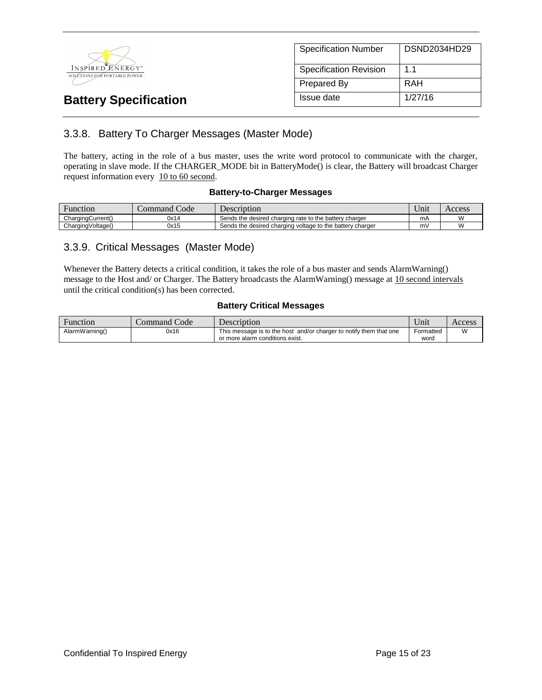

| <b>Specification Number</b>   | DSND2034HD29 |
|-------------------------------|--------------|
| <b>Specification Revision</b> | 11           |
| Prepared By                   | RAH          |
| Issue date                    | 1/27/16      |

# 3.3.8. Battery To Charger Messages (Master Mode)

The battery, acting in the role of a bus master, uses the write word protocol to communicate with the charger, operating in slave mode. If the CHARGER\_MODE bit in BatteryMode() is clear, the Battery will broadcast Charger request information every 10 to 60 second.

### **Battery-to-Charger Messages**

| Function          | Command Code | Description                                               | <b>Y</b> T<br>∪nıt | Access |
|-------------------|--------------|-----------------------------------------------------------|--------------------|--------|
| ChargingCurrent() | 0x14         | Sends the desired charging rate to the battery charger    | mA                 | ۱۸     |
| ChargingVoltage() | 0x15         | Sends the desired charging voltage to the battery charger | m۷                 | ۱۸     |

# 3.3.9. Critical Messages (Master Mode)

Whenever the Battery detects a critical condition, it takes the role of a bus master and sends AlarmWarning() message to the Host and/ or Charger. The Battery broadcasts the AlarmWarning() message at 10 second intervals until the critical condition(s) has been corrected.

### **Battery Critical Messages**

| Function       | Command Code | Description                                                        | $\mathbf{v}$<br>Unit | Access |
|----------------|--------------|--------------------------------------------------------------------|----------------------|--------|
| AlarmWarning() | 0x16         | This message is to the host and/or charger to notify them that one | Formatted            | W      |
|                |              | or more alarm conditions exist.                                    | word                 |        |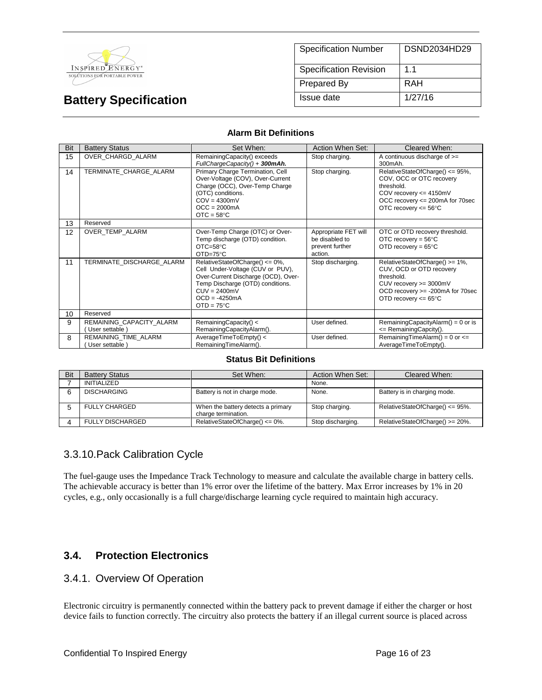

| <b>Specification Number</b>   | DSND2034HD29 |
|-------------------------------|--------------|
| <b>Specification Revision</b> | 11           |
| Prepared By                   | RAH          |
| Issue date                    | 1/27/16      |

#### **Alarm Bit Definitions**

| Bit | <b>Battery Status</b>                     | Set When:                                                                                                                                                                                                 | Action When Set:                                                     | Cleared When:                                                                                                                                                            |
|-----|-------------------------------------------|-----------------------------------------------------------------------------------------------------------------------------------------------------------------------------------------------------------|----------------------------------------------------------------------|--------------------------------------------------------------------------------------------------------------------------------------------------------------------------|
| 15  | OVER CHARGD ALARM                         | RemainingCapacity() exceeds<br>FullChargeCapacity() + 300mAh.                                                                                                                                             | Stop charging.                                                       | A continuous discharge of $>=$<br>300mAh.                                                                                                                                |
| 14  | TERMINATE CHARGE ALARM                    | Primary Charge Termination, Cell<br>Over-Voltage (COV), Over-Current<br>Charge (OCC), Over-Temp Charge<br>(OTC) conditions.<br>$COV = 4300mV$<br>$OCC = 2000mA$<br>$OTC = 58°C$                           | Stop charging.                                                       | RelativeStateOfCharge() <= 95%,<br>COV, OCC or OTC recovery<br>threshold.<br>COV recovery $\leq$ 4150mV<br>OCC recovery <= 200mA for 70sec<br>OTC recovery $\leq$ 56°C   |
| 13  | Reserved                                  |                                                                                                                                                                                                           |                                                                      |                                                                                                                                                                          |
| 12  | OVER TEMP ALARM                           | Over-Temp Charge (OTC) or Over-<br>Temp discharge (OTD) condition.<br>$OTC = 58°C$<br>$OTD=75^{\circ}C$                                                                                                   | Appropriate FET will<br>be disabled to<br>prevent further<br>action. | OTC or OTD recovery threshold.<br>OTC recovery = $56^{\circ}$ C<br>OTD recovery = $65^{\circ}$ C                                                                         |
| 11  | TERMINATE DISCHARGE ALARM                 | RelativeStateOfCharge() <= 0%,<br>Cell Under-Voltage (CUV or PUV),<br>Over-Current Discharge (OCD), Over-<br>Temp Discharge (OTD) conditions.<br>$CUV = 2400mV$<br>$OCD = -4250mA$<br>$OTD = 75^{\circ}C$ | Stop discharging.                                                    | RelativeStateOfCharge() >= 1%,<br>CUV, OCD or OTD recovery<br>threshold.<br>CUV recovery >= 3000mV<br>OCD recovery >= -200mA for 70sec<br>OTD recovery $<= 65^{\circ}$ C |
| 10  | Reserved                                  |                                                                                                                                                                                                           |                                                                      |                                                                                                                                                                          |
| 9   | REMAINING_CAPACITY_ALARM<br>User settable | RemainingCapacity() <<br>RemainingCapacityAlarm().                                                                                                                                                        | User defined.                                                        | RemainingCapacityAlarm() = $0$ or is<br><= RemainingCapcity().                                                                                                           |
| 8   | REMAINING TIME ALARM<br>User settable     | AverageTimeToEmpty() <<br>RemainingTimeAlarm().                                                                                                                                                           | User defined.                                                        | RemainingTimeAlarm() = $0$ or $\leq$<br>AverageTimeToEmpty().                                                                                                            |

#### **Status Bit Definitions**

| Bit | <b>Battery Status</b>   | Set When:                                                 | Action When Set:  | Cleared When:                       |
|-----|-------------------------|-----------------------------------------------------------|-------------------|-------------------------------------|
|     | <b>INITIALIZED</b>      |                                                           | None.             |                                     |
|     | <b>DISCHARGING</b>      | Battery is not in charge mode.                            | None.             | Battery is in charging mode.        |
|     | FULLY CHARGED           | When the battery detects a primary<br>charge termination. | Stop charging.    | RelativeStateOfCharge() $\leq$ 95%. |
|     | <b>FULLY DISCHARGED</b> | RelativeStateOfCharge() <= 0%.                            | Stop discharging. | RelativeStateOfCharge() >= 20%.     |

# 3.3.10.Pack Calibration Cycle

The fuel-gauge uses the Impedance Track Technology to measure and calculate the available charge in battery cells. The achievable accuracy is better than 1% error over the lifetime of the battery. Max Error increases by 1% in 20 cycles, e.g., only occasionally is a full charge/discharge learning cycle required to maintain high accuracy.

# **3.4. Protection Electronics**

### 3.4.1. Overview Of Operation

Electronic circuitry is permanently connected within the battery pack to prevent damage if either the charger or host device fails to function correctly. The circuitry also protects the battery if an illegal current source is placed across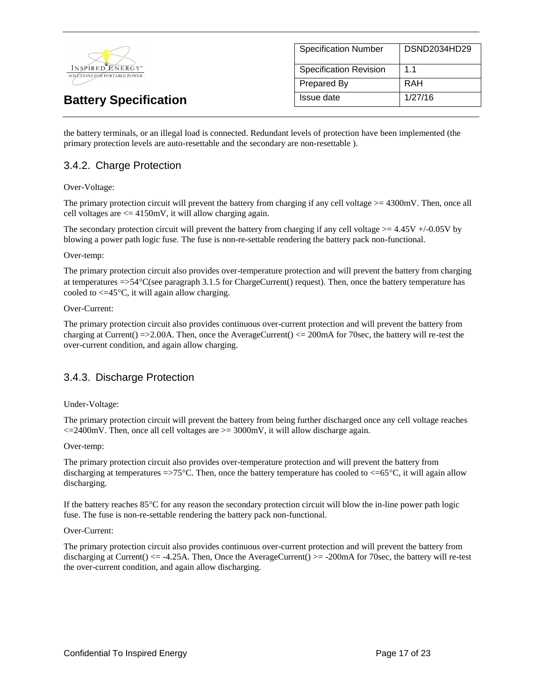

| <b>Specification Number</b>   | DSND2034HD29 |
|-------------------------------|--------------|
| <b>Specification Revision</b> | 11           |
| <b>Prepared By</b>            | RAH          |
| Issue date                    | 1/27/16      |

the battery terminals, or an illegal load is connected. Redundant levels of protection have been implemented (the primary protection levels are auto-resettable and the secondary are non-resettable ).

# 3.4.2. Charge Protection

#### Over-Voltage:

The primary protection circuit will prevent the battery from charging if any cell voltage >= 4300mV. Then, once all cell voltages are  $\leq$  4150mV, it will allow charging again.

The secondary protection circuit will prevent the battery from charging if any cell voltage  $>= 4.45V +10.05V$  by blowing a power path logic fuse. The fuse is non-re-settable rendering the battery pack non-functional.

#### Over-temp:

The primary protection circuit also provides over-temperature protection and will prevent the battery from charging at temperatures =>54C(see paragraph 3.1.5 for ChargeCurrent() request). Then, once the battery temperature has cooled to  $\leq$  45 $\degree$ C, it will again allow charging.

#### Over-Current:

The primary protection circuit also provides continuous over-current protection and will prevent the battery from charging at Current() =>2.00A. Then, once the AverageCurrent() <= 200mA for 70sec, the battery will re-test the over-current condition, and again allow charging.

# 3.4.3. Discharge Protection

#### Under-Voltage:

The primary protection circuit will prevent the battery from being further discharged once any cell voltage reaches  $\epsilon$ =2400mV. Then, once all cell voltages are  $\epsilon$ =3000mV, it will allow discharge again.

#### Over-temp:

The primary protection circuit also provides over-temperature protection and will prevent the battery from discharging at temperatures  $\approx$  75°C. Then, once the battery temperature has cooled to  $\lt$  =65°C, it will again allow discharging.

If the battery reaches 85C for any reason the secondary protection circuit will blow the in-line power path logic fuse. The fuse is non-re-settable rendering the battery pack non-functional.

#### Over-Current:

The primary protection circuit also provides continuous over-current protection and will prevent the battery from discharging at Current()  $\leq$  -4.25A. Then, Once the AverageCurrent()  $\geq$  -200mA for 70sec, the battery will re-test the over-current condition, and again allow discharging.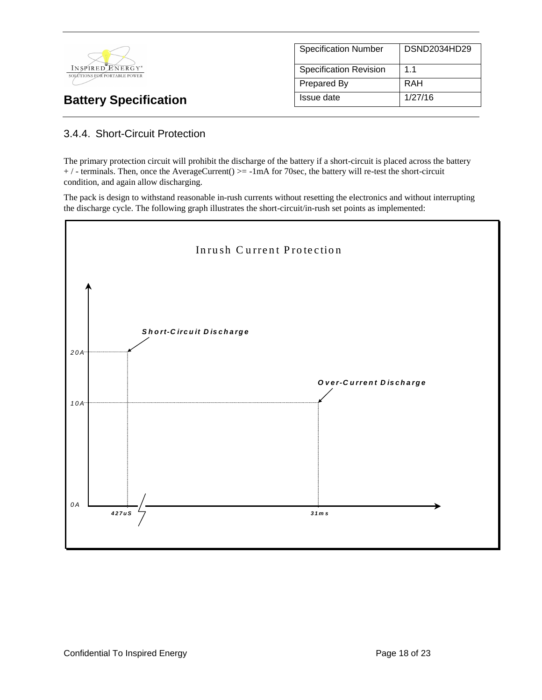

| <b>Specification Number</b>   | DSND2034HD29 |
|-------------------------------|--------------|
| <b>Specification Revision</b> | 11           |
| Prepared By                   | RAH          |
| Issue date                    | 1/27/16      |

# 3.4.4. Short-Circuit Protection

The primary protection circuit will prohibit the discharge of the battery if a short-circuit is placed across the battery + / - terminals. Then, once the AverageCurrent() >= -1mA for 70sec, the battery will re-test the short-circuit condition, and again allow discharging.

The pack is design to withstand reasonable in-rush currents without resetting the electronics and without interrupting the discharge cycle. The following graph illustrates the short-circuit/in-rush set points as implemented:

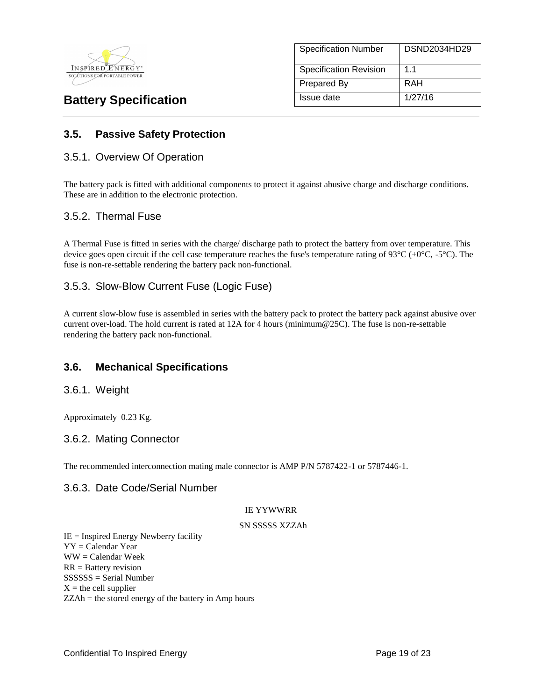

| <b>Specification Number</b>   | DSND2034HD29   |
|-------------------------------|----------------|
| <b>Specification Revision</b> | 1 <sub>1</sub> |
| Prepared By                   | RAH            |
| Issue date                    | 1/27/16        |

# **3.5. Passive Safety Protection**

### 3.5.1. Overview Of Operation

The battery pack is fitted with additional components to protect it against abusive charge and discharge conditions. These are in addition to the electronic protection.

### 3.5.2. Thermal Fuse

A Thermal Fuse is fitted in series with the charge/ discharge path to protect the battery from over temperature. This device goes open circuit if the cell case temperature reaches the fuse's temperature rating of 93 $^{\circ}$ C (+0 $^{\circ}$ C, -5 $^{\circ}$ C). The fuse is non-re-settable rendering the battery pack non-functional.

# 3.5.3. Slow-Blow Current Fuse (Logic Fuse)

A current slow-blow fuse is assembled in series with the battery pack to protect the battery pack against abusive over current over-load. The hold current is rated at 12A for 4 hours (minimum@25C). The fuse is non-re-settable rendering the battery pack non-functional.

# **3.6. Mechanical Specifications**

### 3.6.1. Weight

Approximately 0.23 Kg.

### 3.6.2. Mating Connector

The recommended interconnection mating male connector is AMP P/N 5787422-1 or 5787446-1.

### 3.6.3. Date Code/Serial Number

#### IE YYWWRR

#### SN SSSSS XZZAh

 $IE =$  Inspired Energy Newberry facility YY = Calendar Year WW = Calendar Week RR = Battery revision SSSSSS = Serial Number  $X =$  the cell supplier ZZAh = the stored energy of the battery in Amp hours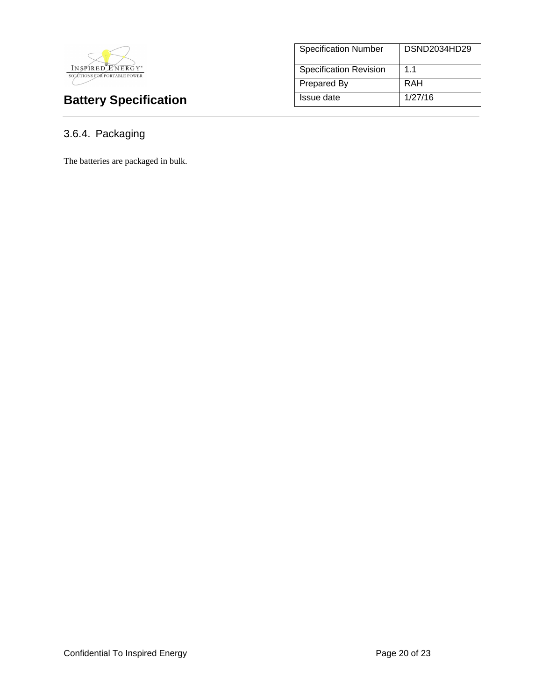

| <b>Specification Number</b>   | DSND2034HD29   |
|-------------------------------|----------------|
| <b>Specification Revision</b> | 1 <sub>1</sub> |
| <b>Prepared By</b>            | RAH            |
| Issue date                    | 1/27/16        |

# 3.6.4. Packaging

The batteries are packaged in bulk.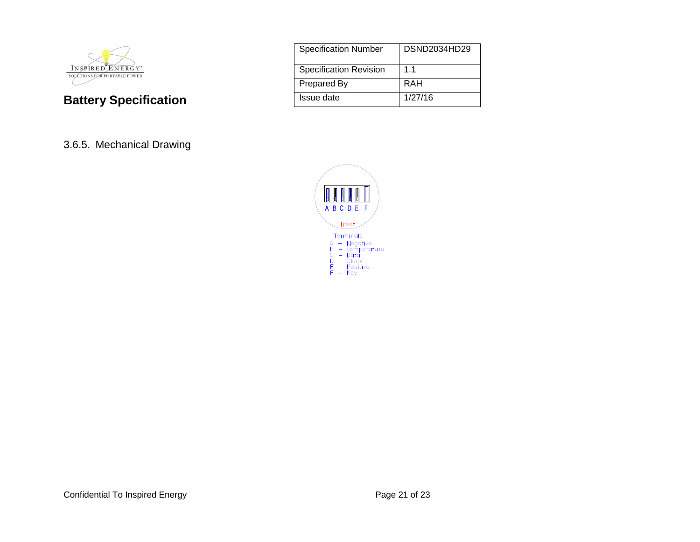

| <b>Specification Number</b>   | DSND2034HD29 |
|-------------------------------|--------------|
| <b>Specification Revision</b> | 1.1          |
| <b>Prepared By</b>            | RAH          |
| Issue date                    | 1/27/16      |

# 3.6.5. Mechanical Drawing

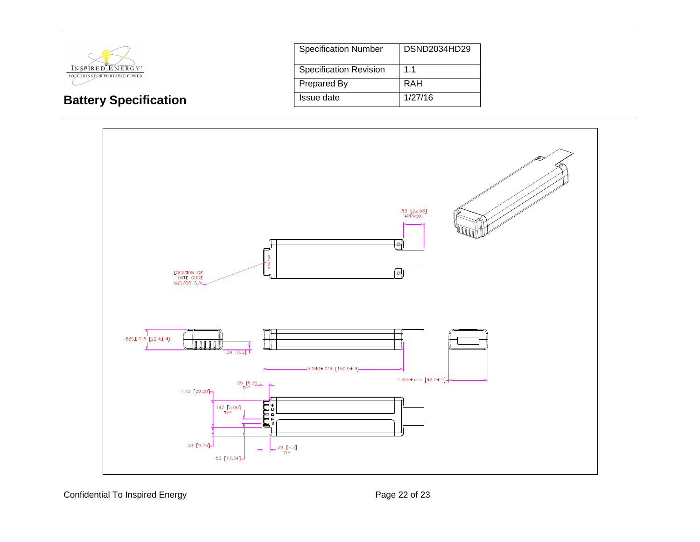

**Battery Specification** 

| <b>Specification Number</b>   | DSND2034HD29 |
|-------------------------------|--------------|
| <b>Specification Revision</b> | 11           |
| <b>Prepared By</b>            | RAH          |
| Issue date                    | 1/27/16      |



Confidential To Inspired Energy **Page 22 of 23** Page 22 of 23